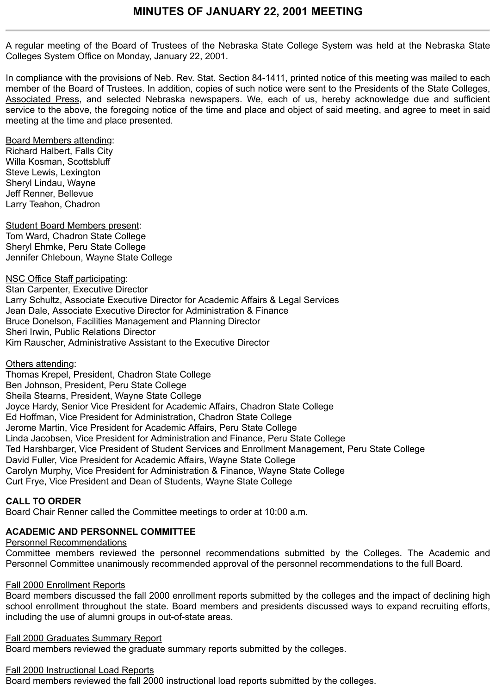A regular meeting of the Board of Trustees of the Nebraska State College System was held at the Nebraska State Colleges System Office on Monday, January 22, 2001.

In compliance with the provisions of Neb. Rev. Stat. Section 84-1411, printed notice of this meeting was mailed to each member of the Board of Trustees. In addition, copies of such notice were sent to the Presidents of the State Colleges, Associated Press, and selected Nebraska newspapers. We, each of us, hereby acknowledge due and sufficient service to the above, the foregoing notice of the time and place and object of said meeting, and agree to meet in said meeting at the time and place presented.

Board Members attending:

Richard Halbert, Falls City Willa Kosman, Scottsbluff Steve Lewis, Lexington Sheryl Lindau, Wayne Jeff Renner, Bellevue Larry Teahon, Chadron

Student Board Members present: Tom Ward, Chadron State College Sheryl Ehmke, Peru State College Jennifer Chleboun, Wayne State College

NSC Office Staff participating: Stan Carpenter, Executive Director Larry Schultz, Associate Executive Director for Academic Affairs & Legal Services Jean Dale, Associate Executive Director for Administration & Finance Bruce Donelson, Facilities Management and Planning Director Sheri Irwin, Public Relations Director Kim Rauscher, Administrative Assistant to the Executive Director

Others attending:

Thomas Krepel, President, Chadron State College Ben Johnson, President, Peru State College Sheila Stearns, President, Wayne State College Joyce Hardy, Senior Vice President for Academic Affairs, Chadron State College Ed Hoffman, Vice President for Administration, Chadron State College Jerome Martin, Vice President for Academic Affairs, Peru State College Linda Jacobsen, Vice President for Administration and Finance, Peru State College Ted Harshbarger, Vice President of Student Services and Enrollment Management, Peru State College David Fuller, Vice President for Academic Affairs, Wayne State College Carolyn Murphy, Vice President for Administration & Finance, Wayne State College Curt Frye, Vice President and Dean of Students, Wayne State College

# **CALL TO ORDER**

Board Chair Renner called the Committee meetings to order at 10:00 a.m.

# **ACADEMIC AND PERSONNEL COMMITTEE**

Personnel Recommendations

Committee members reviewed the personnel recommendations submitted by the Colleges. The Academic and Personnel Committee unanimously recommended approval of the personnel recommendations to the full Board.

## Fall 2000 Enrollment Reports

Board members discussed the fall 2000 enrollment reports submitted by the colleges and the impact of declining high school enrollment throughout the state. Board members and presidents discussed ways to expand recruiting efforts, including the use of alumni groups in out-of-state areas.

## Fall 2000 Graduates Summary Report

Board members reviewed the graduate summary reports submitted by the colleges.

## Fall 2000 Instructional Load Reports

Board members reviewed the fall 2000 instructional load reports submitted by the colleges.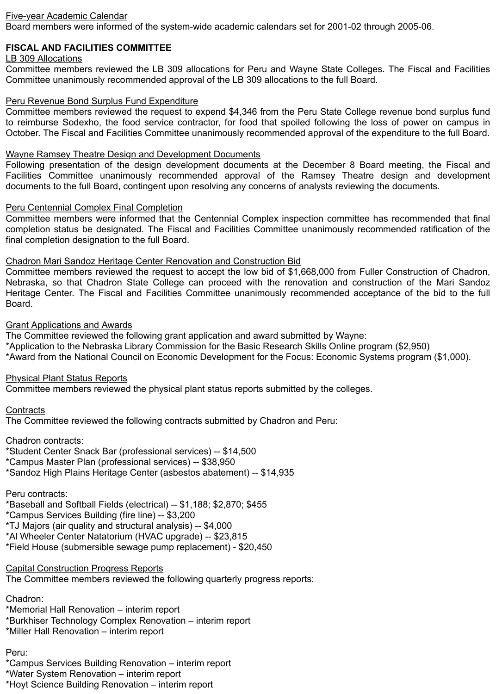## Five-year Academic Calendar

Board members were informed of the system-wide academic calendars set for 2001-02 through 2005-06.

# **FISCAL AND FACILITIES COMMITTEE**

## LB 309 Allocations

Committee members reviewed the LB 309 allocations for Peru and Wayne State Colleges. The Fiscal and Facilities Committee unanimously recommended approval of the LB 309 allocations to the full Board.

#### Peru Revenue Bond Surplus Fund Expenditure

Committee members reviewed the request to expend \$4,346 from the Peru State College revenue bond surplus fund to reimburse Sodexho, the food service contractor, for food that spoiled following the loss of power on campus in October. The Fiscal and Facilities Committee unanimously recommended approval of the expenditure to the full Board.

## Wayne Ramsey Theatre Design and Development Documents

Following presentation of the design development documents at the December 8 Board meeting, the Fiscal and Facilities Committee unanimously recommended approval of the Ramsey Theatre design and development documents to the full Board, contingent upon resolving any concerns of analysts reviewing the documents.

#### Peru Centennial Complex Final Completion

Committee members were informed that the Centennial Complex inspection committee has recommended that final completion status be designated. The Fiscal and Facilities Committee unanimously recommended ratification of the final completion designation to the full Board.

#### Chadron Mari Sandoz Heritage Center Renovation and Construction Bid

Committee members reviewed the request to accept the low bid of \$1,668,000 from Fuller Construction of Chadron, Nebraska, so that Chadron State College can proceed with the renovation and construction of the Mari Sandoz Heritage Center. The Fiscal and Facilities Committee unanimously recommended acceptance of the bid to the full Board.

#### Grant Applications and Awards

The Committee reviewed the following grant application and award submitted by Wayne: \*Application to the Nebraska Library Commission for the Basic Research Skills Online program (\$2,950) \*Award from the National Council on Economic Development for the Focus: Economic Systems program (\$1,000).

## Physical Plant Status Reports

Committee members reviewed the physical plant status reports submitted by the colleges.

## **Contracts**

The Committee reviewed the following contracts submitted by Chadron and Peru:

Chadron contracts:

\*Student Center Snack Bar (professional services) -- \$14,500

\*Campus Master Plan (professional services) -- \$38,950

\*Sandoz High Plains Heritage Center (asbestos abatement) -- \$14,935

## Peru contracts:

\*Baseball and Softball Fields (electrical) -- \$1,188; \$2,870; \$455

\*Campus Services Building (fire line) -- \$3,200

\*TJ Majors (air quality and structural analysis) -- \$4,000

\*Al Wheeler Center Natatorium (HVAC upgrade) -- \$23,815

\*Field House (submersible sewage pump replacement) - \$20,450

Capital Construction Progress Reports

The Committee members reviewed the following quarterly progress reports:

## Chadron:

\*Memorial Hall Renovation – interim report

\*Burkhiser Technology Complex Renovation – interim report

\*Miller Hall Renovation – interim report

# Peru:

\*Campus Services Building Renovation – interim report

\*Water System Renovation – interim report

\*Hoyt Science Building Renovation – interim report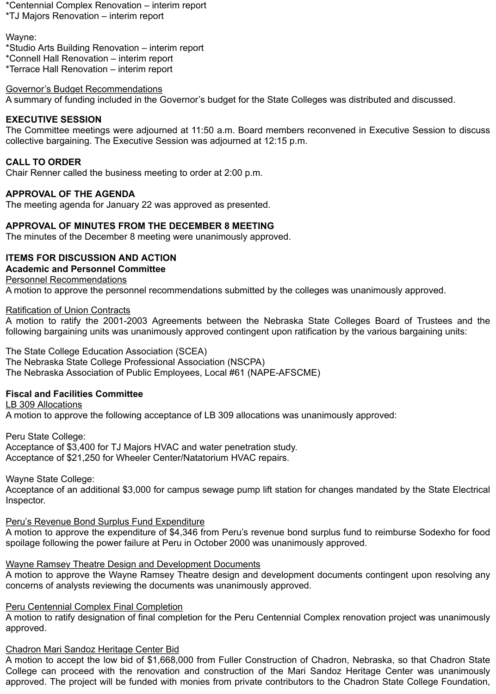\*Centennial Complex Renovation – interim report \*TJ Majors Renovation – interim report

Wayne:

\*Studio Arts Building Renovation – interim report \*Connell Hall Renovation – interim report \*Terrace Hall Renovation – interim report

# Governor's Budget Recommendations

A summary of funding included in the Governor's budget for the State Colleges was distributed and discussed.

# **EXECUTIVE SESSION**

The Committee meetings were adjourned at 11:50 a.m. Board members reconvened in Executive Session to discuss collective bargaining. The Executive Session was adjourned at 12:15 p.m.

# **CALL TO ORDER**

Chair Renner called the business meeting to order at 2:00 p.m.

# **APPROVAL OF THE AGENDA**

The meeting agenda for January 22 was approved as presented.

# **APPROVAL OF MINUTES FROM THE DECEMBER 8 MEETING**

The minutes of the December 8 meeting were unanimously approved.

# **ITEMS FOR DISCUSSION AND ACTION**

# **Academic and Personnel Committee**

# Personnel Recommendations

A motion to approve the personnel recommendations submitted by the colleges was unanimously approved.

# Ratification of Union Contracts

A motion to ratify the 2001-2003 Agreements between the Nebraska State Colleges Board of Trustees and the following bargaining units was unanimously approved contingent upon ratification by the various bargaining units:

# The State College Education Association (SCEA)

The Nebraska State College Professional Association (NSCPA)

The Nebraska Association of Public Employees, Local #61 (NAPE-AFSCME)

# **Fiscal and Facilities Committee**

# LB 309 Allocations

A motion to approve the following acceptance of LB 309 allocations was unanimously approved:

Peru State College: Acceptance of \$3,400 for TJ Majors HVAC and water penetration study. Acceptance of \$21,250 for Wheeler Center/Natatorium HVAC repairs.

# Wayne State College:

Acceptance of an additional \$3,000 for campus sewage pump lift station for changes mandated by the State Electrical Inspector.

# Peru's Revenue Bond Surplus Fund Expenditure

A motion to approve the expenditure of \$4,346 from Peru's revenue bond surplus fund to reimburse Sodexho for food spoilage following the power failure at Peru in October 2000 was unanimously approved.

# Wayne Ramsey Theatre Design and Development Documents

A motion to approve the Wayne Ramsey Theatre design and development documents contingent upon resolving any concerns of analysts reviewing the documents was unanimously approved.

# Peru Centennial Complex Final Completion

A motion to ratify designation of final completion for the Peru Centennial Complex renovation project was unanimously approved.

# Chadron Mari Sandoz Heritage Center Bid

A motion to accept the low bid of \$1,668,000 from Fuller Construction of Chadron, Nebraska, so that Chadron State College can proceed with the renovation and construction of the Mari Sandoz Heritage Center was unanimously approved. The project will be funded with monies from private contributors to the Chadron State College Foundation,